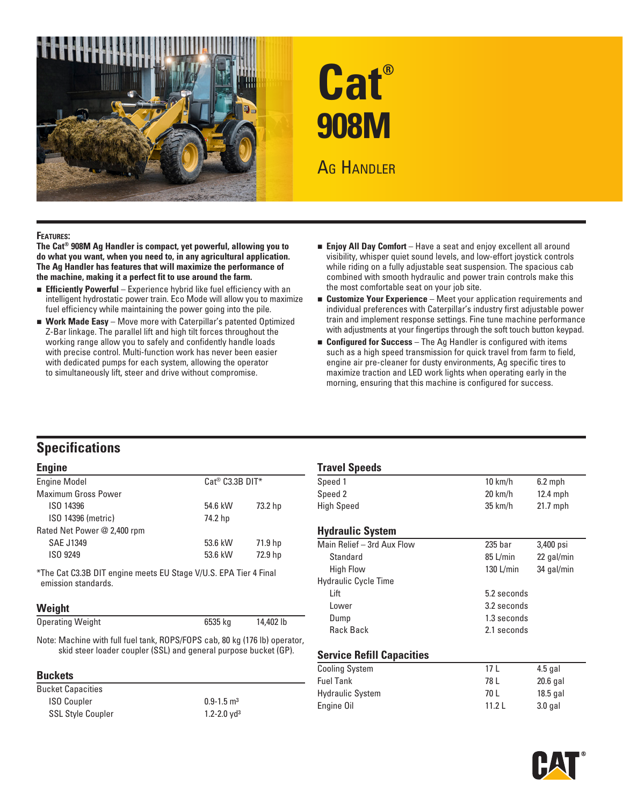



#### **Features:**

**The Cat® 908M Ag Handler is compact, yet powerful, allowing you to do what you want, when you need to, in any agricultural application. The Ag Handler has features that will maximize the performance of the machine, making it a perfect fit to use around the farm.** 

- **Efficiently Powerful** Experience hybrid like fuel efficiency with an intelligent hydrostatic power train. Eco Mode will allow you to maximize fuel efficiency while maintaining the power going into the pile.
- **Nork Made Easy** Move more with Caterpillar's patented Optimized Z-Bar linkage. The parallel lift and high tilt forces throughout the working range allow you to safely and confidently handle loads with precise control. Multi-function work has never been easier with dedicated pumps for each system, allowing the operator to simultaneously lift, steer and drive without compromise.
- **Enjoy All Day Comfort** Have a seat and enjoy excellent all around visibility, whisper quiet sound levels, and low-effort joystick controls while riding on a fully adjustable seat suspension. The spacious cab combined with smooth hydraulic and power train controls make this the most comfortable seat on your job site.
- **Experience** Meet your application requirements and individual preferences with Caterpillar's industry first adjustable power train and implement response settings. Fine tune machine performance with adjustments at your fingertips through the soft touch button keypad.
- **Example 1** Configured for Success The Ag Handler is configured with items such as a high speed transmission for quick travel from farm to field, engine air pre-cleaner for dusty environments, Ag specific tires to maximize traction and LED work lights when operating early in the morning, ensuring that this machine is configured for success.

# **Specifications**

#### **Engine**

| <b>Engine Model</b>         |         | $Cat®$ $C3.3B$ $DIT*$ |  |
|-----------------------------|---------|-----------------------|--|
| <b>Maximum Gross Power</b>  |         |                       |  |
| ISO 14396                   | 54.6 kW | 73.2 hp               |  |
| ISO 14396 (metric)          | 74.2 hp |                       |  |
| Rated Net Power @ 2,400 rpm |         |                       |  |
| <b>SAE J1349</b>            | 53.6 kW | 71.9 hp               |  |
| ISO 9249                    | 53.6 kW | 72.9 hp               |  |
|                             |         |                       |  |

\*The Cat C3.3B DIT engine meets EU Stage V/U.S. EPA Tier 4 Final emission standards.

#### **Weight**

| <b>Operating Weight</b> | 6535 kg | 14,402 lb |  |
|-------------------------|---------|-----------|--|
|                         |         |           |  |

Note: Machine with full fuel tank, ROPS/FOPS cab, 80 kg (176 lb) operator, skid steer loader coupler (SSL) and general purpose bucket (GP).

#### **Buckets**

| Bucket Capacities        |                             |
|--------------------------|-----------------------------|
| <b>ISO Coupler</b>       | $0.9 - 1.5$ m <sup>3</sup>  |
| <b>SSL Style Coupler</b> | $1.2 - 2.0$ yd <sup>3</sup> |

#### **Travel Speeds**

| <b>THATAL ADAMA</b>     |                   |            |  |
|-------------------------|-------------------|------------|--|
| Speed 1                 | $10 \text{ km/h}$ | $6.2$ mph  |  |
| Speed 2                 | $20 \text{ km/h}$ | $12.4$ mph |  |
| <b>High Speed</b>       | $35 \text{ km/h}$ | $21.7$ mph |  |
| <b>Hydraulic System</b> |                   |            |  |

| $235$ bar   | 3,400 psi                                 |  |  |
|-------------|-------------------------------------------|--|--|
| 85 L/min    | 22 gal/min                                |  |  |
| 130 L/min   | 34 gal/min                                |  |  |
|             |                                           |  |  |
|             |                                           |  |  |
|             |                                           |  |  |
| 1.3 seconds |                                           |  |  |
|             |                                           |  |  |
|             | 5.2 seconds<br>3.2 seconds<br>2.1 seconds |  |  |

#### **Service Refill Capacities**

| <b>Cooling System</b>   | 17 I  | $4.5$ gal  |
|-------------------------|-------|------------|
| <b>Fuel Tank</b>        | 78 L  | 20.6 gal   |
| <b>Hydraulic System</b> | 70 L  | $18.5$ gal |
| Engine Oil              | 11.21 | $3.0$ gal  |

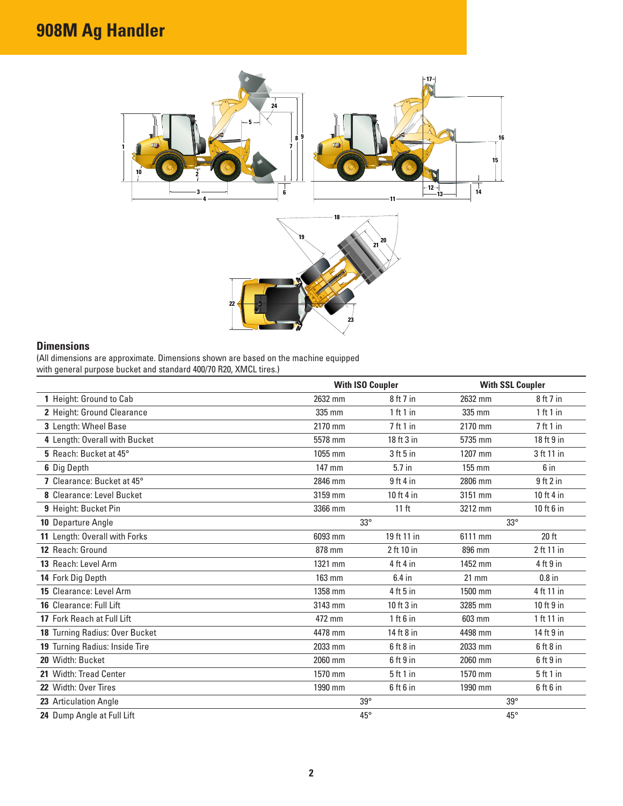# **908M Ag Handler**



# **Dimensions**

(All dimensions are approximate. Dimensions shown are based on the machine equipped with general purpose bucket and standard 400/70 R20, XMCL tires.)

|                                |         | <b>With ISO Coupler</b> |              | <b>With SSL Coupler</b> |  |
|--------------------------------|---------|-------------------------|--------------|-------------------------|--|
| 1 Height: Ground to Cab        | 2632 mm | 8 ft 7 in               | 2632 mm      | 8ft7in                  |  |
| 2 Height: Ground Clearance     | 335 mm  | 1 ft 1 in               | 335 mm       | 1 ft 1 in               |  |
| 3 Length: Wheel Base           | 2170 mm | 7 ft 1 in               | 2170 mm      | 7 ft 1 in               |  |
| 4 Length: Overall with Bucket  | 5578 mm | 18 ft 3 in              | 5735 mm      | 18 ft 9 in              |  |
| 5 Reach: Bucket at 45°         | 1055 mm | $3$ ft 5 in             | 1207 mm      | 3 ft 11 in              |  |
| 6 Dig Depth                    | 147 mm  | $5.7$ in                | 155 mm       | 6 in                    |  |
| 7 Clearance: Bucket at 45°     | 2846 mm | $9$ ft 4 in             | 2806 mm      | $9$ ft $2$ in           |  |
| 8 Clearance: Level Bucket      | 3159 mm | 10 ft 4 in              | 3151 mm      | 10 ft 4 in              |  |
| 9 Height: Bucket Pin           | 3366 mm | 11 <sub>ft</sub>        | 3212 mm      | 10 ft 6 in              |  |
| 10 Departure Angle             |         | $33^\circ$              | $33^\circ$   |                         |  |
| 11 Length: Overall with Forks  | 6093 mm | 19 ft 11 in             | 6111 mm      | 20 ft                   |  |
| 12 Reach: Ground               | 878 mm  | 2 ft 10 in              | 896 mm       | 2 ft 11 in              |  |
| 13 Reach: Level Arm            | 1321 mm | $4$ ft $4$ in           | 1452 mm      | $4$ ft $9$ in           |  |
| 14 Fork Dig Depth              | 163 mm  | $6.4$ in                | $21$ mm      | $0.8$ in                |  |
| 15 Clearance: Level Arm        | 1358 mm | $4$ ft 5 in             | 1500 mm      | 4 ft 11 in              |  |
| 16 Clearance: Full Lift        | 3143 mm | 10 ft 3 in              | 3285 mm      | 10 ft 9 in              |  |
| 17 Fork Reach at Full Lift     | 472 mm  | 1 ft 6 in               | 603 mm       | 1 ft 11 in              |  |
| 18 Turning Radius: Over Bucket | 4478 mm | 14 ft 8 in              | 4498 mm      | 14 ft 9 in              |  |
| 19 Turning Radius: Inside Tire | 2033 mm | $6$ ft $8$ in           | 2033 mm      | $6$ ft $8$ in           |  |
| 20 Width: Bucket               | 2060 mm | $6$ ft $9$ in           | 2060 mm      | $6$ ft $9$ in           |  |
| 21 Width: Tread Center         | 1570 mm | 5ft1in                  | 1570 mm      | 5ft1in                  |  |
| 22 Width: Over Tires           | 1990 mm | $6$ ft $6$ in           | 1990 mm      | $6$ ft $6$ in           |  |
| 23 Articulation Angle          |         | $39^\circ$              | $39^\circ$   |                         |  |
| 24 Dump Angle at Full Lift     |         | $45^{\circ}$            | $45^{\circ}$ |                         |  |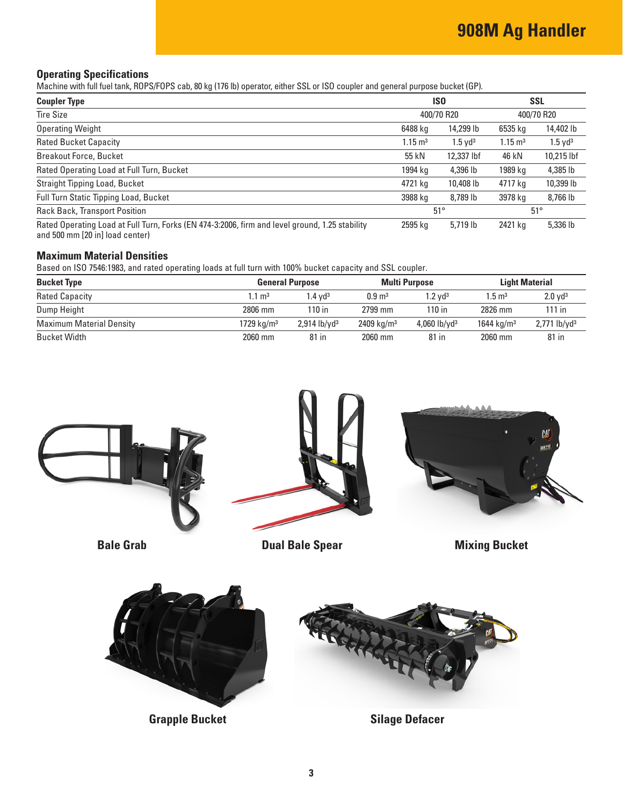## **Operating Specifications**

Machine with full fuel tank, ROPS/FOPS cab, 80 kg (176 lb) operator, either SSL or ISO coupler and general purpose bucket (GP).

| <b>Coupler Type</b>                                                                                                               | IS <sub>0</sub><br>400/70 R20 |                       | <b>SSL</b><br>400/70 R20 |                       |
|-----------------------------------------------------------------------------------------------------------------------------------|-------------------------------|-----------------------|--------------------------|-----------------------|
| <b>Tire Size</b>                                                                                                                  |                               |                       |                          |                       |
| <b>Operating Weight</b>                                                                                                           | 6488 kg                       | 14,299 lb             | 6535 kg                  | 14,402 lb             |
| <b>Rated Bucket Capacity</b>                                                                                                      | $1.15 \text{ m}^3$            | $1.5$ yd <sup>3</sup> | $1.15 \text{ m}^3$       | $1.5$ yd <sup>3</sup> |
| <b>Breakout Force, Bucket</b>                                                                                                     | 55 kN                         | 12,337 lbf            | 46 kN                    | 10,215 lbf            |
| Rated Operating Load at Full Turn, Bucket                                                                                         | 1994 kg                       | 4,396 lb              | 1989 kg                  | 4,385 lb              |
| Straight Tipping Load, Bucket                                                                                                     | 4721 kg                       | 10,408 lb             | 4717 kg                  | 10,399 lb             |
| <b>Full Turn Static Tipping Load, Bucket</b>                                                                                      | 3988 kg                       | 8,789 lb              | 3978 kg                  | 8,766 lb              |
| Rack Back, Transport Position                                                                                                     | $51^\circ$                    |                       |                          | $51^\circ$            |
| Rated Operating Load at Full Turn, Forks (EN 474-3:2006, firm and level ground, 1.25 stability<br>and 500 mm [20 in] load center) | 2595 kg                       | 5,719 lb              | 2421 kg                  | 5,336 lb              |

#### **Maximum Material Densities**

Based on ISO 7546:1983, and rated operating loads at full turn with 100% bucket capacity and SSL coupler.

| <b>Bucket Type</b>              | <b>General Purpose</b> |                            | <b>Multi Purpose</b>  |                       | <b>Light Material</b>  |                            |
|---------------------------------|------------------------|----------------------------|-----------------------|-----------------------|------------------------|----------------------------|
| <b>Rated Capacity</b>           | $1.1 \text{ m}^3$      | $1.4$ vd <sup>3</sup>      | $0.9 \text{ m}^3$     | $1.2$ vd <sup>3</sup> | $1.5 \text{ m}^3$      | $2.0$ yd <sup>3</sup>      |
| Dump Height                     | 2806 mm                | 110 in                     | 2799 mm               | 110 in                | 2826 mm                | $111$ in                   |
| <b>Maximum Material Density</b> | 1729 kg/m <sup>3</sup> | $2,914$ lb/yd <sup>3</sup> | $2409 \text{ kg/m}^3$ | 4,060 $lb/vd^3$       | 1644 kg/m <sup>3</sup> | $2,771$ lb/yd <sup>3</sup> |
| Bucket Width                    | 2060 mm                | 81 in                      | 2060 mm               | 81 in                 | 2060 mm                | 81 in                      |





**Grapple Bucket Silage Defacer**